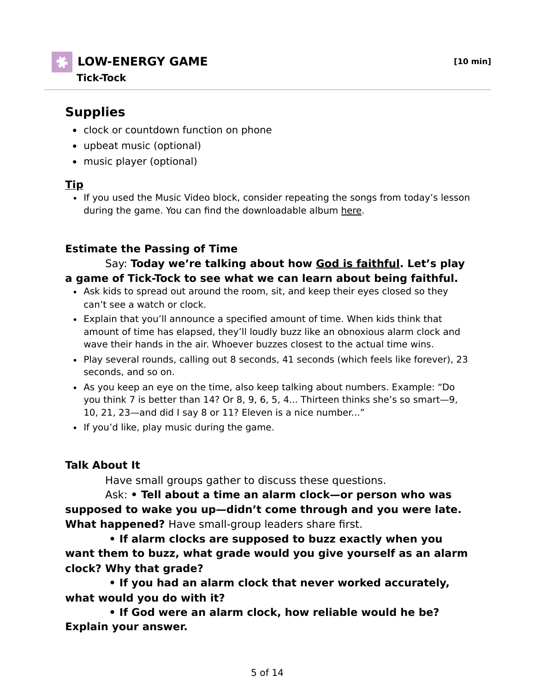# **LOW-ENERGY GAME [10 min]**

#### **Tick-Tock**

# **Supplies**

- clock or countdown function on phone
- upbeat music (optional)
- music player (optional)

### **Tip**

• If you used the Music Video block, consider repeating the songs from today's lesson during the game. You can find the downloadable album here.

## **Estimate the Passing of Time**

#### Say: **Today we're talking about how God is faithful. Let's play a game of Tick-Tock to see what we can learn about being faithful.**

- Ask kids to spread out around the room, sit, and keep their eyes closed so they can't see a watch or clock.
- Explain that you'll announce a specified amount of time. When kids think that amount of time has elapsed, they'll loudly buzz like an obnoxious alarm clock and wave their hands in the air. Whoever buzzes closest to the actual time wins.
- Play several rounds, calling out 8 seconds, 41 seconds (which feels like forever), 23 seconds, and so on.
- As you keep an eye on the time, also keep talking about numbers. Example: "Do you think 7 is better than 14? Or 8, 9, 6, 5, 4... Thirteen thinks she's so smart—9, 10, 21, 23—and did I say 8 or 11? Eleven is a nice number..."
- If you'd like, play music during the game.

## **Talk About It**

Have small groups gather to discuss these questions.

 Ask: **• Tell about a time an alarm clock—or person who was supposed to wake you up—didn't come through and you were late. What happened?** Have small-group leaders share first.

 **• If alarm clocks are supposed to buzz exactly when you want them to buzz, what grade would you give yourself as an alarm clock? Why that grade?**

 **• If you had an alarm clock that never worked accurately, what would you do with it?**

 **• If God were an alarm clock, how reliable would he be? Explain your answer.**